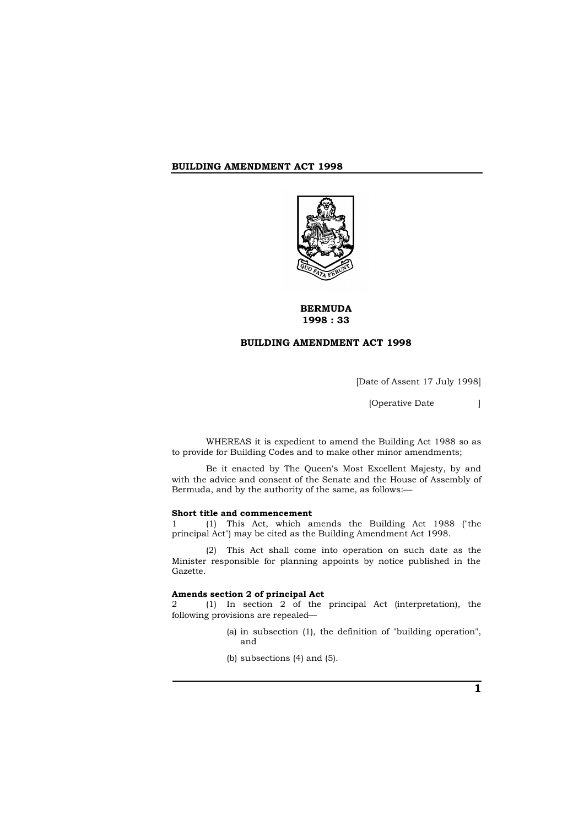

# **BERMUDA 1998 : 33**

# **BUILDING AMENDMENT ACT 1998**

[Date of Assent 17 July 1998]

[Operative Date ]

WHEREAS it is expedient to amend the Building Act 1988 so as to provide for Building Codes and to make other minor amendments;

Be it enacted by The Queen's Most Excellent Majesty, by and with the advice and consent of the Senate and the House of Assembly of Bermuda, and by the authority of the same, as follows:

#### **Short title and commencement**

1 (1) This Act, which amends the Building Act 1988 ("the principal Act") may be cited as the Building Amendment Act 1998.

(2) This Act shall come into operation on such date as the Minister responsible for planning appoints by notice published in the Gazette.

#### **Amends section 2 of principal Act**

2 (1) In section 2 of the principal Act (interpretation), the following provisions are repealed—

- (a) in subsection (1), the definition of "building operation", and
- (b) subsections (4) and (5).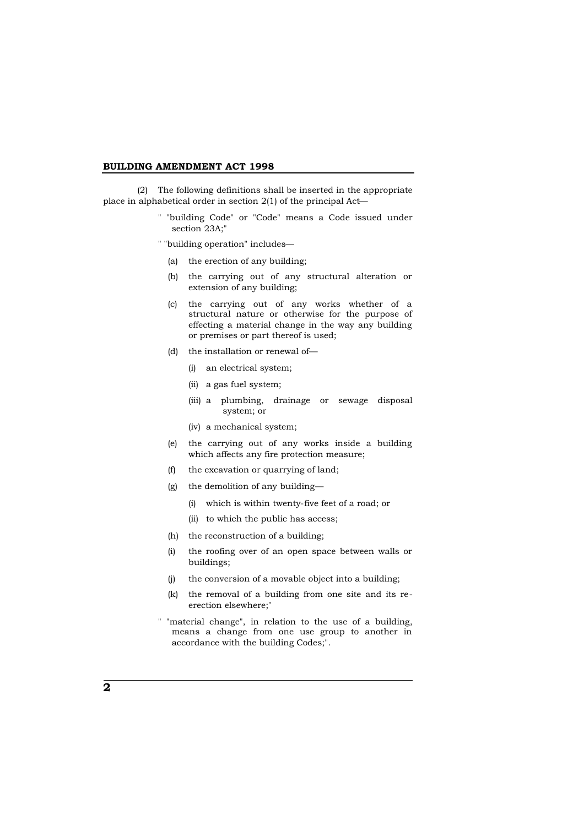(2) The following definitions shall be inserted in the appropriate place in alphabetical order in section 2(1) of the principal Act—

> " "building Code" or "Code" means a Code issued under section 23A;"

" "building operation" includes—

- (a) the erection of any building;
- (b) the carrying out of any structural alteration or extension of any building;
- (c) the carrying out of any works whether of a structural nature or otherwise for the purpose of effecting a material change in the way any building or premises or part thereof is used;
- (d) the installation or renewal of—
	- (i) an electrical system;
	- (ii) a gas fuel system;
	- (iii) a plumbing, drainage or sewage disposal system; or
	- (iv) a mechanical system;
- (e) the carrying out of any works inside a building which affects any fire protection measure;
- (f) the excavation or quarrying of land;
- (g) the demolition of any building—
	- (i) which is within twenty-five feet of a road; or
	- (ii) to which the public has access;
- (h) the reconstruction of a building;
- (i) the roofing over of an open space between walls or buildings;
- (j) the conversion of a movable object into a building;
- (k) the removal of a building from one site and its reerection elsewhere;"
- " "material change", in relation to the use of a building, means a change from one use group to another in accordance with the building Codes;".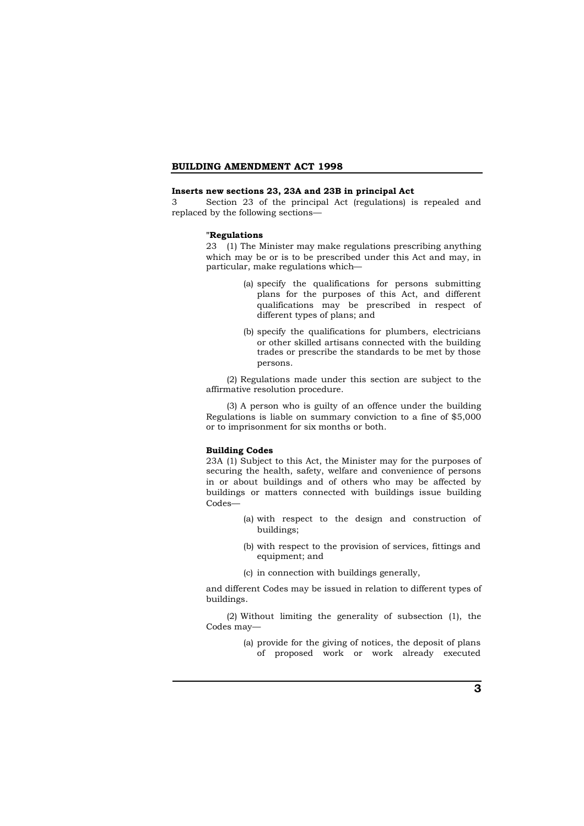## **Inserts new sections 23, 23A and 23B in principal Act**

3 Section 23 of the principal Act (regulations) is repealed and replaced by the following sections—

#### **"Regulations**

23 (1) The Minister may make regulations prescribing anything which may be or is to be prescribed under this Act and may, in particular, make regulations which—

- (a) specify the qualifications for persons submitting plans for the purposes of this Act, and different qualifications may be prescribed in respect of different types of plans; and
- (b) specify the qualifications for plumbers, electricians or other skilled artisans connected with the building trades or prescribe the standards to be met by those persons.

(2) Regulations made under this section are subject to the affirmative resolution procedure.

(3) A person who is guilty of an offence under the building Regulations is liable on summary conviction to a fine of \$5,000 or to imprisonment for six months or both.

### **Building Codes**

23A (1) Subject to this Act, the Minister may for the purposes of securing the health, safety, welfare and convenience of persons in or about buildings and of others who may be affected by buildings or matters connected with buildings issue building Codes—

- (a) with respect to the design and construction of buildings;
- (b) with respect to the provision of services, fittings and equipment; and
- (c) in connection with buildings generally,

and different Codes may be issued in relation to different types of buildings.

(2) Without limiting the generality of subsection (1), the Codes may—

> (a) provide for the giving of notices, the deposit of plans of proposed work or work already executed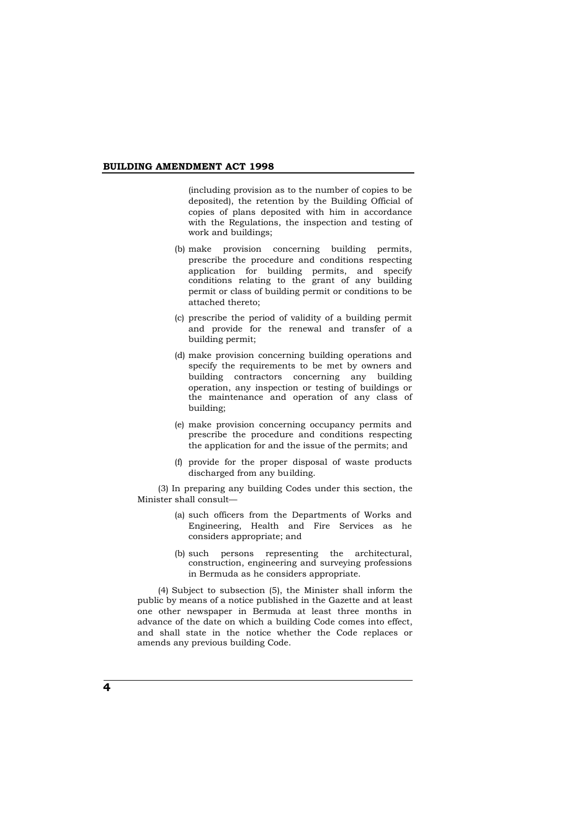(including provision as to the number of copies to be deposited), the retention by the Building Official of copies of plans deposited with him in accordance with the Regulations, the inspection and testing of work and buildings;

- (b) make provision concerning building permits, prescribe the procedure and conditions respecting application for building permits, and specify conditions relating to the grant of any building permit or class of building permit or conditions to be attached thereto;
- (c) prescribe the period of validity of a building permit and provide for the renewal and transfer of a building permit;
- (d) make provision concerning building operations and specify the requirements to be met by owners and building contractors concerning any building operation, any inspection or testing of buildings or the maintenance and operation of any class of building;
- (e) make provision concerning occupancy permits and prescribe the procedure and conditions respecting the application for and the issue of the permits; and
- (f) provide for the proper disposal of waste products discharged from any building.

(3) In preparing any building Codes under this section, the Minister shall consult—

- (a) such officers from the Departments of Works and Engineering, Health and Fire Services as he considers appropriate; and
- (b) such persons representing the architectural, construction, engineering and surveying professions in Bermuda as he considers appropriate.

(4) Subject to subsection (5), the Minister shall inform the public by means of a notice published in the Gazette and at least one other newspaper in Bermuda at least three months in advance of the date on which a building Code comes into effect, and shall state in the notice whether the Code replaces or amends any previous building Code.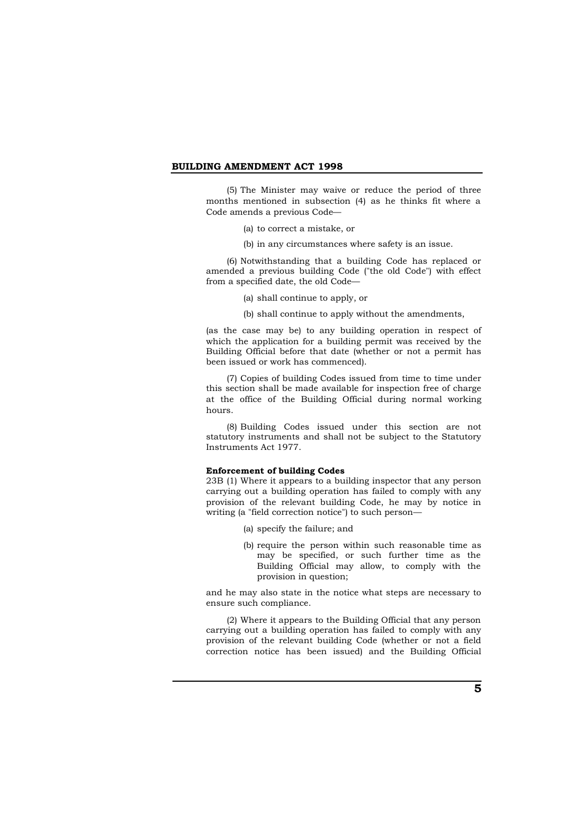(5) The Minister may waive or reduce the period of three months mentioned in subsection (4) as he thinks fit where a Code amends a previous Code—

(a) to correct a mistake, or

(b) in any circumstances where safety is an issue.

(6) Notwithstanding that a building Code has replaced or amended a previous building Code ("the old Code") with effect from a specified date, the old Code—

(a) shall continue to apply, or

(b) shall continue to apply without the amendments,

(as the case may be) to any building operation in respect of which the application for a building permit was received by the Building Official before that date (whether or not a permit has been issued or work has commenced).

(7) Copies of building Codes issued from time to time under this section shall be made available for inspection free of charge at the office of the Building Official during normal working hours.

(8) Building Codes issued under this section are not statutory instruments and shall not be subject to the Statutory Instruments Act 1977.

### **Enforcement of building Codes**

23B (1) Where it appears to a building inspector that any person carrying out a building operation has failed to comply with any provision of the relevant building Code, he may by notice in writing (a "field correction notice") to such person—

- (a) specify the failure; and
- (b) require the person within such reasonable time as may be specified, or such further time as the Building Official may allow, to comply with the provision in question;

and he may also state in the notice what steps are necessary to ensure such compliance.

(2) Where it appears to the Building Official that any person carrying out a building operation has failed to comply with any provision of the relevant building Code (whether or not a field correction notice has been issued) and the Building Official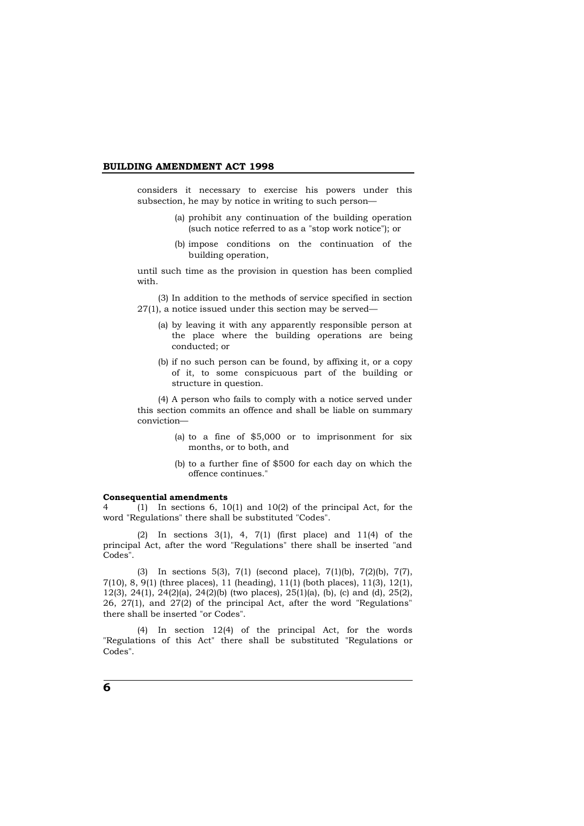considers it necessary to exercise his powers under this subsection, he may by notice in writing to such person—

- (a) prohibit any continuation of the building operation (such notice referred to as a "stop work notice"); or
- (b) impose conditions on the continuation of the building operation,

until such time as the provision in question has been complied with.

(3) In addition to the methods of service specified in section 27(1), a notice issued under this section may be served—

- (a) by leaving it with any apparently responsible person at the place where the building operations are being conducted; or
- (b) if no such person can be found, by affixing it, or a copy of it, to some conspicuous part of the building or structure in question.

(4) A person who fails to comply with a notice served under this section commits an offence and shall be liable on summary conviction—

- (a) to a fine of \$5,000 or to imprisonment for six months, or to both, and
- (b) to a further fine of \$500 for each day on which the offence continues."

#### **Consequential amendments**

4 (1) In sections 6, 10(1) and 10(2) of the principal Act, for the word "Regulations" there shall be substituted "Codes".

(2) In sections 3(1), 4, 7(1) (first place) and 11(4) of the principal Act, after the word "Regulations" there shall be inserted "and Codes".

(3) In sections 5(3), 7(1) (second place), 7(1)(b), 7(2)(b), 7(7), 7(10), 8, 9(1) (three places), 11 (heading), 11(1) (both places), 11(3), 12(1), 12(3), 24(1), 24(2)(a), 24(2)(b) (two places), 25(1)(a), (b), (c) and (d), 25(2), 26, 27(1), and 27(2) of the principal Act, after the word "Regulations" there shall be inserted "or Codes".

(4) In section 12(4) of the principal Act, for the words "Regulations of this Act" there shall be substituted "Regulations or Codes".